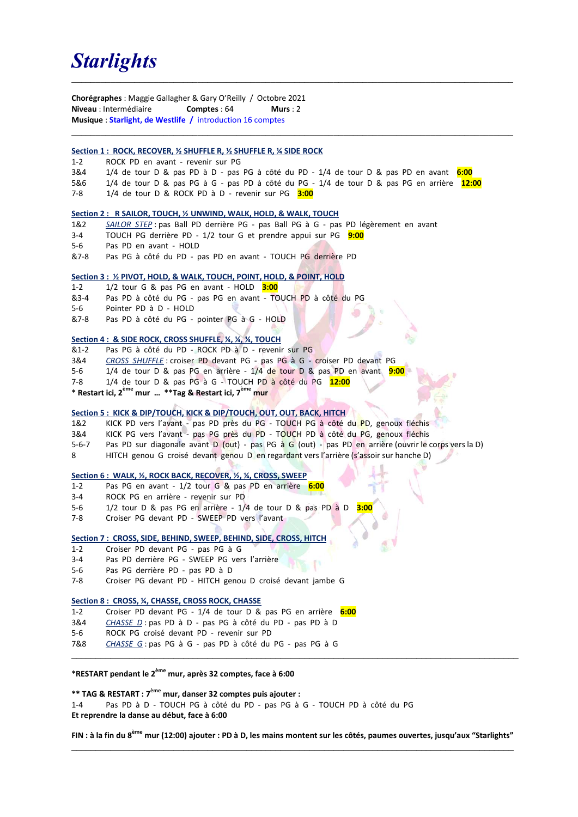# **Starlights**

Chorégraphes : Maggie Gallagher & Gary O'Reilly / Octobre 2021 Niveau : Intermédiaire **Comptes : 64** Murs : 2 Musique : Starlight, de Westlife / introduction 16 comptes

## Section 1 : ROCK, RECOVER, % SHUFFLE R, % SHUFFLE R, % SIDE ROCK

- 1-2 ROCK PD en avant revenir sur PG
- 3&4 1/4 de tour D & pas PD à D pas PG à côté du PD 1/4 de tour D & pas PD en avant 6:00

 $\mathcal{L}_\mathcal{L} = \{ \mathcal{L}_\mathcal{L} = \{ \mathcal{L}_\mathcal{L} = \{ \mathcal{L}_\mathcal{L} = \{ \mathcal{L}_\mathcal{L} = \{ \mathcal{L}_\mathcal{L} = \{ \mathcal{L}_\mathcal{L} = \{ \mathcal{L}_\mathcal{L} = \{ \mathcal{L}_\mathcal{L} = \{ \mathcal{L}_\mathcal{L} = \{ \mathcal{L}_\mathcal{L} = \{ \mathcal{L}_\mathcal{L} = \{ \mathcal{L}_\mathcal{L} = \{ \mathcal{L}_\mathcal{L} = \{ \mathcal{L}_\mathcal{$ 

- 5&6 1/4 de tour D & pas PG à G pas PD à côté du PG 1/4 de tour D & pas PG en arrière 12:00
- 7-8  $1/4$  de tour D & ROCK PD à D revenir sur PG  $3:00$

#### Section 2 : R SAILOR, TOUCH, ½ UNWIND, WALK, HOLD, & WALK, TOUCH

- 1&2 SAILOR STEP: pas Ball PD derrière PG pas Ball PG à G pas PD légèrement en avant
- 3-4 TOUCH PG derrière PD 1/2 tour G et prendre appui sur PG 9:00
- 5-6 Pas PD en avant HOLD
- &7-8 Pas PG à côté du PD pas PD en avant TOUCH PG derrière PD

### Section 3 : ½ PIVOT, HOLD, & WALK, TOUCH, POINT, HOLD, & POINT, HOLD

- 1-2  $1/2$  tour G & pas PG en avant HOLD  $3:00$
- &3-4 Pas PD à côté du PG pas PG en avant TOUCH PD à côté du PG
- 5-6 Pointer PD à D HOLD
- &7-8 Pas PD à côté du PG pointer PG à G HOLD

### Section 4 : & SIDE ROCK, CROSS SHUFFLE, ¼, ¼, ¼, TOUCH

- &1-2 Pas PG à côté du PD ROCK PD à D revenir sur PG
- 3&4 CROSS SHUFFLE: croiser PD devant PG pas PG à G croiser PD devant PG
- 5-6 1/4 de tour D & pas PG en arrière 1/4 de tour D & pas PD en avant 9:00
- 7-8 1/4 de tour D & pas PG à G TOUCH PD à côté du PG 12:00
- \* Restart ici, 2<sup>ème</sup> mur ... \*\*Tag & Restart ici, 7<sup>ème</sup> mur

## Section 5 : KICK & DIP/TOUCH, KICK & DIP/TOUCH, OUT, OUT, BACK, HITCH

- 1&2 KICK PD vers l'avant pas PD près du PG TOUCH PG à côté du PD, genoux fléchis
- 3&4 KICK PG vers l'avant pas PG près du PD TOUCH PD à côté du PG, genoux fléchis
- 5-6-7 Pas PD sur diagonale avant D (out) pas PG à G (out) pas PD en arrière (ouvrir le corps vers la D)
- 8 HITCH genou G croisé devant genou D en regardant vers l'arrière (s'assoir sur hanche D)

### Section 6 : WALK, ½, ROCK BACK, RECOVER, ½, ¼, CROSS, SWEEP

- 1-2 Pas PG en avant 1/2 tour G & pas PD en arrière 6:00
- 3-4 ROCK PG en arrière revenir sur PD
- 5-6 1/2 tour D & pas PG en arrière 1/4 de tour D & pas PD à D
- 7-8 Croiser PG devant PD SWEEP PD vers l'avant

### Section 7 : CROSS, SIDE, BEHIND, SWEEP, BEHIND, SIDE, CROSS, HITCH

- 1-2 Croiser PD devant PG pas PG à G
- 3-4 Pas PD derrière PG SWEEP PG vers l'arrière
- 5-6 Pas PG derrière PD pas PD à D
- 7-8 Croiser PG devant PD HITCH genou D croisé devant jambe G

## Section 8 : CROSS, ¼, CHASSE, CROSS ROCK, CHASSE

- 1-2 Croiser PD devant PG 1/4 de tour D & pas PG en arrière 6:00
- 3&4 CHASSE D : pas PD à D pas PG à côté du PD pas PD à D
- 5-6 ROCK PG croisé devant PD revenir sur PD
- 7&8 CHASSE G: pas PG à G pas PD à côté du PG pas PG à G

## \*RESTART pendant le 2ème mur, après 32 comptes, face à 6:00

## \*\* TAG & RESTART : 7<sup>ème</sup> mur, danser 32 comptes puis ajouter :

1-4 Pas PD à D - TOUCH PG à côté du PD - pas PG à G - TOUCH PD à côté du PG Et reprendre la danse au début, face à 6:00

FIN : à la fin du 8<sup>ème</sup> mur (12:00) ajouter : PD à D, les mains montent sur les côtés, paumes ouvertes, jusqu'aux "Starlights"  $\mathcal{L}_\mathcal{L} = \{ \mathcal{L}_\mathcal{L} = \{ \mathcal{L}_\mathcal{L} = \{ \mathcal{L}_\mathcal{L} = \{ \mathcal{L}_\mathcal{L} = \{ \mathcal{L}_\mathcal{L} = \{ \mathcal{L}_\mathcal{L} = \{ \mathcal{L}_\mathcal{L} = \{ \mathcal{L}_\mathcal{L} = \{ \mathcal{L}_\mathcal{L} = \{ \mathcal{L}_\mathcal{L} = \{ \mathcal{L}_\mathcal{L} = \{ \mathcal{L}_\mathcal{L} = \{ \mathcal{L}_\mathcal{L} = \{ \mathcal{L}_\mathcal{$ 

 $\mathcal{L}_\mathcal{L} = \{ \mathcal{L}_\mathcal{L} = \{ \mathcal{L}_\mathcal{L} = \{ \mathcal{L}_\mathcal{L} = \{ \mathcal{L}_\mathcal{L} = \{ \mathcal{L}_\mathcal{L} = \{ \mathcal{L}_\mathcal{L} = \{ \mathcal{L}_\mathcal{L} = \{ \mathcal{L}_\mathcal{L} = \{ \mathcal{L}_\mathcal{L} = \{ \mathcal{L}_\mathcal{L} = \{ \mathcal{L}_\mathcal{L} = \{ \mathcal{L}_\mathcal{L} = \{ \mathcal{L}_\mathcal{L} = \{ \mathcal{L}_\mathcal{$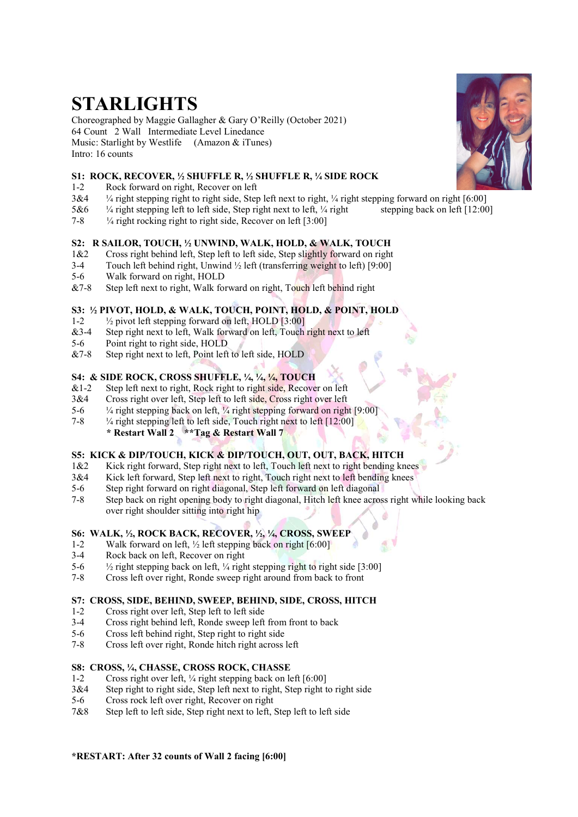# STARLIGHTS

Choreographed by Maggie Gallagher & Gary O'Reilly (October 2021) 64 Count 2 Wall Intermediate Level Linedance Music: Starlight by Westlife (Amazon & iTunes) Intro: 16 counts

## S1: ROCK, RECOVER, ½ SHUFFLE R, ½ SHUFFLE R, ¼ SIDE ROCK

- 1-2 Rock forward on right, Recover on left
- $3&4$  <sup>1</sup>/4 right stepping right to right side, Step left next to right, <sup>1</sup>/4 right stepping forward on right [6:00]
- 5&6 ¼ right stepping left to left side, Step right next to left, ¼ right stepping back on left [12:00]
- 7-8 ¼ right rocking right to right side, Recover on left [3:00]

## S2: R SAILOR, TOUCH, ½ UNWIND, WALK, HOLD, & WALK, TOUCH

- 1&2 Cross right behind left, Step left to left side, Step slightly forward on right
- 3-4 Touch left behind right, Unwind ½ left (transferring weight to left) [9:00]
- 5-6 Walk forward on right, HOLD
- &7-8 Step left next to right, Walk forward on right, Touch left behind right

# S3: ½ PIVOT, HOLD, & WALK, TOUCH, POINT, HOLD, & POINT, HOLD

- 1-2 ½ pivot left stepping forward on left, HOLD [3:00]
- &3-4 Step right next to left, Walk forward on left, Touch right next to left
- 5-6 Point right to right side, HOLD
- &7-8 Step right next to left, Point left to left side, HOLD

# S4: & SIDE ROCK, CROSS SHUFFLE, ¼, ¼, ¼, TOUCH

- $&1-2$  Step left next to right, Rock right to right side, Recover on left
- 3&4 Cross right over left, Step left to left side, Cross right over left
- 5-6 ¼ right stepping back on left, ¼ right stepping forward on right [9:00]
- 7-8 ¼ right stepping left to left side, Touch right next to left [12:00]
	- \* Restart Wall 2 \*\*Tag & Restart Wall 7

# S5: KICK & DIP/TOUCH, KICK & DIP/TOUCH, OUT, OUT, BACK, HITCH

- 1&2 Kick right forward, Step right next to left, Touch left next to right bending knees
- 3&4 Kick left forward, Step left next to right, Touch right next to left bending knees
- 5-6 Step right forward on right diagonal, Step left forward on left diagonal
- 7-8 Step back on right opening body to right diagonal, Hitch left knee across right while looking back over right shoulder sitting into right hip

## S6: WALK, ½, ROCK BACK, RECOVER, ½, ¼, CROSS, SWEEP

- 1-2 Walk forward on left, ½ left stepping back on right [6:00]
- 3-4 Rock back on left, Recover on right
- 5-6  $\frac{1}{2}$  right stepping back on left,  $\frac{1}{4}$  right stepping right to right side [3:00]
- 7-8 Cross left over right, Ronde sweep right around from back to front

# S7: CROSS, SIDE, BEHIND, SWEEP, BEHIND, SIDE, CROSS, HITCH

- 1-2 Cross right over left, Step left to left side
- 3-4 Cross right behind left, Ronde sweep left from front to back
- 5-6 Cross left behind right, Step right to right side
- 7-8 Cross left over right, Ronde hitch right across left

# S8: CROSS, ¼, CHASSE, CROSS ROCK, CHASSE

- 1-2 Cross right over left, ¼ right stepping back on left [6:00]
- 3&4 Step right to right side, Step left next to right, Step right to right side
- 5-6 Cross rock left over right, Recover on right
- 7&8 Step left to left side, Step right next to left, Step left to left side



# \*RESTART: After 32 counts of Wall 2 facing [6:00]